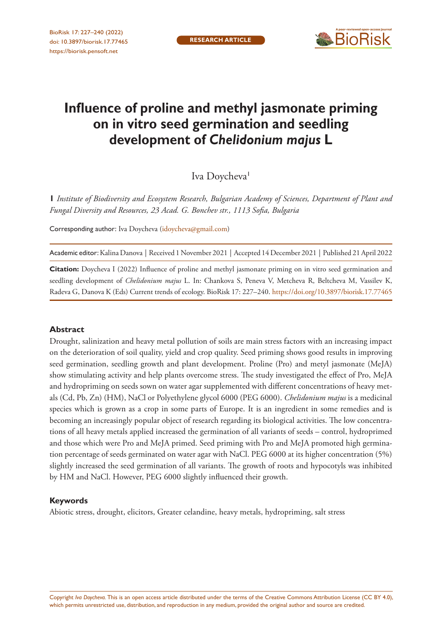

# **Influence of proline and methyl jasmonate priming on in vitro seed germination and seedling development of** *Chelidonium majus* **L**

Iva Doycheva<sup>1</sup>

**1** *Institute of Biodiversity and Ecosystem Research, Bulgarian Academy of Sciences, Department of Plant and Fungal Diversity and Resources, 23 Acad. G. Bonchev str., 1113 Sofia, Bulgaria*

Corresponding author: Iva Doycheva ([idoycheva@gmail.com\)](mailto:idoycheva@gmail.com)

Academic editor: Kalina Danova | Received 1 November 2021 | Accepted 14 December 2021 | Published 21 April 2022

**Citation:** Doycheva I (2022) Influence of proline and methyl jasmonate priming on in vitro seed germination and seedling development of *Chelidonium majus* L. In: Chankova S, Peneva V, Metcheva R, Beltcheva M, Vassilev K, Radeva G, Danova K (Eds) Current trends of ecology. BioRisk 17: 227–240.<https://doi.org/10.3897/biorisk.17.77465>

#### **Abstract**

Drought, salinization and heavy metal pollution of soils are main stress factors with an increasing impact on the deterioration of soil quality, yield and crop quality. Seed priming shows good results in improving seed germination, seedling growth and plant development. Proline (Pro) and metyl jasmonate (MeJA) show stimulating activity and help plants overcome stress. The study investigated the effect of Pro, MeJA and hydropriming on seeds sown on water agar supplemented with different concentrations of heavy metals (Cd, Pb, Zn) (HM), NaCl or Polyethylene glycol 6000 (PEG 6000). *Chelidonium majus* is a medicinal species which is grown as a crop in some parts of Europe. It is an ingredient in some remedies and is becoming an increasingly popular object of research regarding its biological activities. The low concentrations of all heavy metals applied increased the germination of all variants of seeds – control, hydroprimed and those which were Pro and MeJA primed. Seed priming with Pro and MeJA promoted high germination percentage of seeds germinated on water agar with NaCl. PEG 6000 at its higher concentration (5%) slightly increased the seed germination of all variants. The growth of roots and hypocotyls was inhibited by HM and NaCl. However, PEG 6000 slightly influenced their growth.

#### **Keywords**

Abiotic stress, drought, elicitors, Greater celandine, heavy metals, hydropriming, salt stress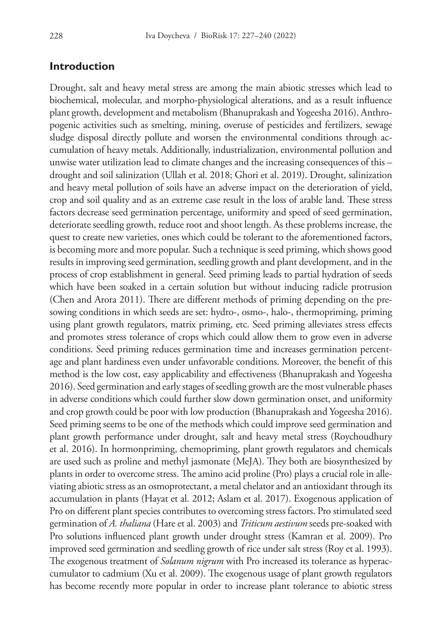### **Introduction**

Drought, salt and heavy metal stress are among the main abiotic stresses which lead to biochemical, molecular, and morpho-physiological alterations, and as a result influence plant growth, development and metabolism (Bhanuprakash and Yogeesha 2016). Anthropogenic activities such as smelting, mining, overuse of pesticides and fertilizers, sewage sludge disposal directly pollute and worsen the environmental conditions through accumulation of heavy metals. Additionally, industrialization, environmental pollution and unwise water utilization lead to climate changes and the increasing consequences of this – drought and soil salinization (Ullah et al. 2018; Ghori et al. 2019). Drought, salinization and heavy metal pollution of soils have an adverse impact on the deterioration of yield, crop and soil quality and as an extreme case result in the loss of arable land. These stress factors decrease seed germination percentage, uniformity and speed of seed germination, deteriorate seedling growth, reduce root and shoot length. As these problems increase, the quest to create new varieties, ones which could be tolerant to the aforementioned factors, is becoming more and more popular. Such a technique is seed priming, which shows good results in improving seed germination, seedling growth and plant development, and in the process of crop establishment in general. Seed priming leads to partial hydration of seeds which have been soaked in a certain solution but without inducing radicle protrusion (Chen and Arora 2011). There are different methods of priming depending on the presowing conditions in which seeds are set: hydro-, osmo-, halo-, thermopriming, priming using plant growth regulators, matrix priming, etc. Seed priming alleviates stress effects and promotes stress tolerance of crops which could allow them to grow even in adverse conditions. Seed priming reduces germination time and increases germination percentage and plant hardiness even under unfavorable conditions. Moreover, the benefit of this method is the low cost, easy applicability and effectiveness (Bhanuprakash and Yogeesha 2016). Seed germination and early stages of seedling growth are the most vulnerable phases in adverse conditions which could further slow down germination onset, and uniformity and crop growth could be poor with low production (Bhanuprakash and Yogeesha 2016). Seed priming seems to be one of the methods which could improve seed germination and plant growth performance under drought, salt and heavy metal stress (Roychoudhury et al. 2016). In hormonpriming, chemopriming, plant growth regulators and chemicals are used such as proline and methyl jasmonate (MeJA). They both are biosynthesized by plants in order to overcome stress. The amino acid proline (Pro) plays a crucial role in alleviating abiotic stress as an osmoprotectant, a metal chelator and an antioxidant through its accumulation in plants (Hayat et al. 2012; Aslam et al. 2017). Exogenous application of Pro on different plant species contributes to overcoming stress factors. Pro stimulated seed germination of *A. thaliana* (Hare et al. 2003) and *Triticum aestivum* seeds pre-soaked with Pro solutions influenced plant growth under drought stress (Kamran et al. 2009). Pro improved seed germination and seedling growth of rice under salt stress (Roy et al. 1993). The exogenous treatment of *Solanum nigrum* with Pro increased its tolerance as hyperaccumulator to cadmium (Xu et al. 2009). The exogenous usage of plant growth regulators has become recently more popular in order to increase plant tolerance to abiotic stress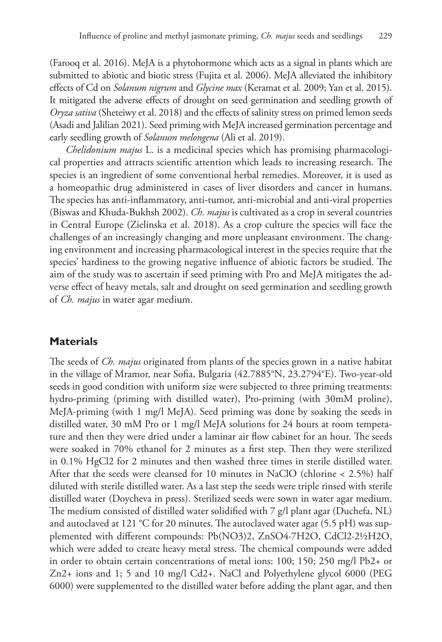(Farooq et al. 2016). MeJA is a phytohormone which acts as a signal in plants which are submitted to abiotic and biotic stress (Fujita et al. 2006). MeJA alleviated the inhibitory effects of Cd on *Solanum nigrum* and *Glycine max* (Keramat et al. 2009; Yan et al. 2015). It mitigated the adverse effects of drought on seed germination and seedling growth of *Oryza sativa* (Sheteiwy et al. 2018) and the effects of salinity stress on primed lemon seeds (Asadi and Jalilian 2021). Seed priming with MeJA increased germination percentage and early seedling growth of *Solanum melongena* (Ali et al. 2019).

*Chelidonium majus* L. is a medicinal species which has promising pharmacological properties and attracts scientific attention which leads to increasing research. The species is an ingredient of some conventional herbal remedies. Moreover, it is used as a homeopathic drug administered in cases of liver disorders and cancer in humans. The species has anti-inflammatory, anti-tumor, anti-microbial and anti-viral properties (Biswas and Khuda-Bukhsh 2002). *Ch. majus* is cultivated as a crop in several countries in Central Europe (Zielinska et al. 2018). As a crop culture the species will face the challenges of an increasingly changing and more unpleasant environment. The changing environment and increasing pharmacological interest in the species require that the species' hardiness to the growing negative influence of abiotic factors be studied. The aim of the study was to ascertain if seed priming with Pro and MeJA mitigates the adverse effect of heavy metals, salt and drought on seed germination and seedling growth of *Ch. majus* in water agar medium.

### **Materials**

The seeds of *Ch. majus* originated from plants of the species grown in a native habitat in the village of Mramor, near Sofia, Bulgaria (42.7885°N, 23.2794°E). Two-year-old seeds in good condition with uniform size were subjected to three priming treatments: hydro-priming (priming with distilled water), Pro-priming (with 30mM proline), MeJA-priming (with 1 mg/l MeJA). Seed priming was done by soaking the seeds in distilled water, 30 mM Pro or 1 mg/l MeJA solutions for 24 hours at room temperature and then they were dried under a laminar air flow cabinet for an hour. The seeds were soaked in 70% ethanol for 2 minutes as a first step. Then they were sterilized in 0.1% HgCl2 for 2 minutes and then washed three times in sterile distilled water. After that the seeds were cleansed for 10 minutes in NaClO (chlorine < 2.5%) half diluted with sterile distilled water. As a last step the seeds were triple rinsed with sterile distilled water (Doycheva in press). Sterilized seeds were sown in water agar medium. The medium consisted of distilled water solidified with 7 g/l plant agar (Duchefa, NL) and autoclaved at 121 °C for 20 minutes. The autoclaved water agar (5.5 pH) was supplemented with different compounds: Pb(NO3)2, ZnSO4·7H2O, CdCl2·2½H2O, which were added to create heavy metal stress. The chemical compounds were added in order to obtain certain concentrations of metal ions: 100; 150; 250 mg/l Pb2+ or Zn2+ ions and 1; 5 and 10 mg/l Cd2+. NaCl and Polyethylene glycol 6000 (PEG 6000) were supplemented to the distilled water before adding the plant agar, and then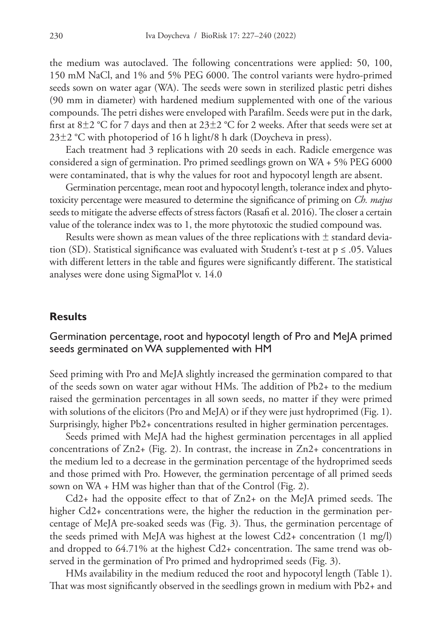the medium was autoclaved. The following concentrations were applied: 50, 100, 150 mM NaCl, and 1% and 5% PEG 6000. The control variants were hydro-primed seeds sown on water agar (WA). The seeds were sown in sterilized plastic petri dishes (90 mm in diameter) with hardened medium supplemented with one of the various compounds. The petri dishes were enveloped with Parafilm. Seeds were put in the dark, first at  $8\pm2$  °C for 7 days and then at  $23\pm2$  °C for 2 weeks. After that seeds were set at  $23\pm2$  °C with photoperiod of 16 h light/8 h dark (Doycheva in press).

Each treatment had 3 replications with 20 seeds in each. Radicle emergence was considered a sign of germination. Pro primed seedlings grown on WA + 5% PEG 6000 were contaminated, that is why the values for root and hypocotyl length are absent.

Germination percentage, mean root and hypocotyl length, tolerance index and phytotoxicity percentage were measured to determine the significance of priming on *Ch. majus* seeds to mitigate the adverse effects of stress factors (Rasafi et al. 2016). The closer a certain value of the tolerance index was to 1, the more phytotoxic the studied compound was.

Results were shown as mean values of the three replications with  $\pm$  standard deviation (SD). Statistical significance was evaluated with Student's t-test at  $p \le 0.05$ . Values with different letters in the table and figures were significantly different. The statistical analyses were done using SigmaPlot v. 14.0

#### **Results**

### Germination percentage, root and hypocotyl length of Pro and MeJA primed seeds germinated on WA supplemented with HM

Seed priming with Pro and MeJA slightly increased the germination compared to that of the seeds sown on water agar without HMs. The addition of Pb2+ to the medium raised the germination percentages in all sown seeds, no matter if they were primed with solutions of the elicitors (Pro and MeJA) or if they were just hydroprimed (Fig. 1). Surprisingly, higher Pb2+ concentrations resulted in higher germination percentages.

Seeds primed with MeJA had the highest germination percentages in all applied concentrations of  $Zn2+$  (Fig. 2). In contrast, the increase in  $Zn2+$  concentrations in the medium led to a decrease in the germination percentage of the hydroprimed seeds and those primed with Pro. However, the germination percentage of all primed seeds sown on WA + HM was higher than that of the Control (Fig. 2).

Cd2+ had the opposite effect to that of Zn2+ on the MeJA primed seeds. The higher Cd2+ concentrations were, the higher the reduction in the germination percentage of MeJA pre-soaked seeds was (Fig. 3). Thus, the germination percentage of the seeds primed with MeJA was highest at the lowest Cd2+ concentration (1 mg/l) and dropped to 64.71% at the highest Cd2+ concentration. The same trend was observed in the germination of Pro primed and hydroprimed seeds (Fig. 3).

HMs availability in the medium reduced the root and hypocotyl length (Table 1). That was most significantly observed in the seedlings grown in medium with Pb2+ and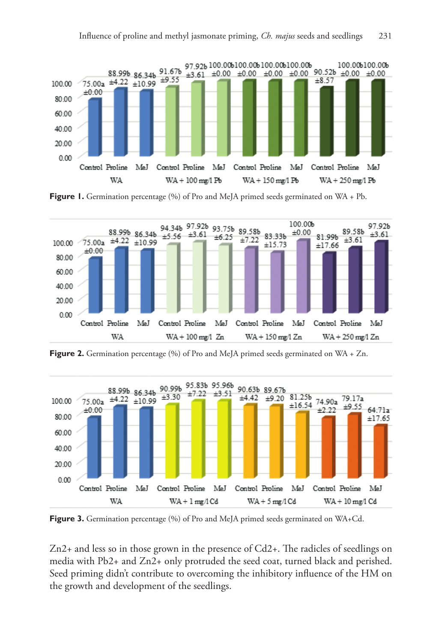

**Figure 1.** Germination percentage (%) of Pro and MeJA primed seeds germinated on WA + Pb.



**Figure 2.** Germination percentage (%) of Pro and MeJA primed seeds germinated on WA + Zn.



Figure 3. Germination percentage (%) of Pro and MeJA primed seeds germinated on WA+Cd.

Zn2+ and less so in those grown in the presence of Cd2+. The radicles of seedlings on media with Pb2+ and Zn2+ only protruded the seed coat, turned black and perished. Seed priming didn't contribute to overcoming the inhibitory influence of the HM on the growth and development of the seedlings.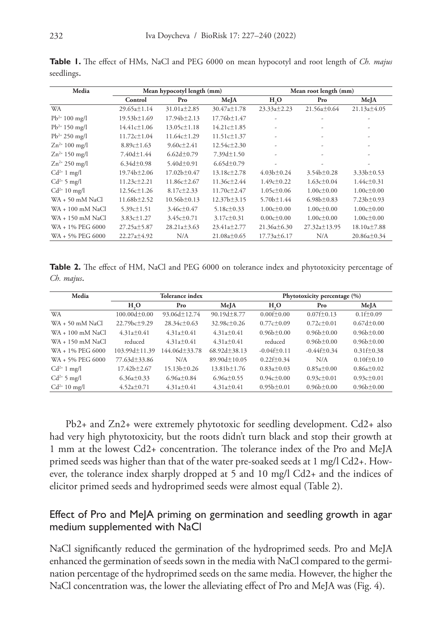| Media              | Mean hypocotyl length (mm) |                   |                   | Mean root length (mm) |                   |                   |
|--------------------|----------------------------|-------------------|-------------------|-----------------------|-------------------|-------------------|
|                    | Control                    | Pro               | MeJA              | H <sub>2</sub> O      | Pro               | MeJA              |
| <b>WA</b>          | $29.65a \pm 1.14$          | $31.01a \pm 2.85$ | $30.47a \pm 1.78$ | 23.33a±2.23           | $21.56a \pm 0.64$ | 21.13a±4.05       |
| $Pb^{2+} 100$ mg/l | 19.53 <sub>b</sub> ±1.69   | $17.94b \pm 2.13$ | $17.76b \pm 1.47$ | ٠                     | ٠                 |                   |
| $Pb^{2+}$ 150 mg/l | $14.41c \pm 1.06$          | $13.05c \pm 1.18$ | $14.21c \pm 1.85$ | ٠                     | ٠                 |                   |
| $Pb^{2+}$ 250 mg/l | $11.72c \pm 1.04$          | $11.64c \pm 1.29$ | $11.51c \pm 1.37$ | ٠                     | ۰                 |                   |
| $Zn^{2+}$ 100 mg/l | $8.89c \pm 1.63$           | $9.60c \pm 2.41$  | $12.54c \pm 2.30$ | $\overline{a}$        | ۰                 |                   |
| $Zn^{2+}$ 150 mg/l | $7.40d \pm 1.44$           | $6.62d \pm 0.79$  | $7.39d \pm 1.50$  | $\overline{a}$        | ٠                 |                   |
| $Zn^{2+}$ 250 mg/l | $6.34d \pm 0.98$           | 5.40 $d \pm 0.91$ | $6.65d \pm 0.79$  |                       |                   |                   |
| $Cd^{2+}1$ mg/l    | $19.74b \pm 2.06$          | $17.02b \pm 0.47$ | $13.18c \pm 2.78$ | $4.03b \pm 0.24$      | $3.54b \pm 0.28$  | $3.33b \pm 0.53$  |
| $Cd^{2+}$ 5 mg/l   | $11.23c \pm 2.21$          | $11.86c \pm 2.67$ | $11.36c \pm 2.44$ | $1.49c \pm 0.22$      | $1.63c \pm 0.04$  | $1.44c \pm 0.31$  |
| $Cd^{2+} 10$ mg/l  | 12.56c±1.26                | $8.17c \pm 2.33$  | $11.70c \pm 2.47$ | $1.05c \pm 0.06$      | $1.00c \pm 0.00$  | $1.00c \pm 0.00$  |
| WA + 50 mM NaCl    | $11.68b \pm 2.52$          | $10.56b \pm 0.13$ | $12.37b \pm 3.15$ | $5.70b \pm 1.44$      | $6.98b \pm 0.83$  | $7.23b \pm 0.93$  |
| WA + 100 mM NaCl   | $5.39c \pm 1.51$           | $3.46c \pm 0.47$  | $5.18c \pm 0.33$  | $1.00c \pm 0.00$      | $1.00c \pm 0.00$  | $1.00c \pm 0.00$  |
| WA + 150 mM NaCl   | $3.83c \pm 1.27$           | $3.45c \pm 0.71$  | $3.17c \pm 0.31$  | $0.00c \pm 0.00$      | $1.00c \pm 0.00$  | $1.00c \pm 0.00$  |
| WA + 1% PEG 6000   | 27.25a±5.87                | $28.21a \pm 3.63$ | $23.41a \pm 2.77$ | $21.36a \pm 6.30$     | 27.32a±13.95      | $18.10a \pm 7.88$ |
| WA + 5% PEG 6000   | $22.27a \pm 4.92$          | N/A               | $21.08a \pm 0.65$ | $17.73a \pm 6.17$     | N/A               | $20.86a \pm 0.34$ |

**Table 1.** The effect of HMs, NaCl and PEG 6000 on mean hypocotyl and root length of *Ch. majus*  seedlings.

**Table 2.** The effect of HM, NaCl and PEG 6000 on tolerance index and phytotoxicity percentage of *Ch. majus*.

| Media              |                               | Tolerance index  |                   | Phytotoxicity percentage (%) |                  |                        |
|--------------------|-------------------------------|------------------|-------------------|------------------------------|------------------|------------------------|
|                    | H <sub>3</sub> O              | Pro              | MeJA              | H <sub>3</sub> O             | Pro              | MeJA                   |
| <b>WA</b>          | $100.00d + 0.00$              | 93.06d+12.74     | $90.19d \pm 8.77$ | $0.00f + 0.00$               | $0.07f + 0.13$   | $0.1f \pm 0.09$        |
| WA + 50 mM NaCl    | $22.79$ <sub>bc</sub> $+9.29$ | $28.34c + 0.63$  | $32.98c + 0.26$   | $0.77c \pm 0.09$             | $0.72c + 0.01$   | $0.67d + 0.00$         |
| $WA + 100$ mM NaCl | $4.31a+0.41$                  | $4.31a+0.41$     | $4.31a \pm 0.41$  | $0.96b \pm 0.00$             | $0.96b+0.00$     | $0.96b \pm 0.00$       |
| WA + 150 mM NaCl   | reduced                       | $4.31a+0.41$     | $4.31a+0.41$      | reduced                      | $0.96b+0.00$     | $0.96b+0.00$           |
| WA + 1% PEG 6000   | $103.99d+11.39$               | 44.06d±33.78     | $68.92d + 38.13$  | $-0.04f+0.11$                | $-0.44f+0.34$    | $0.31\text{ft} + 0.38$ |
| WA + 5% PEG 6000   | 77.63d±33.86                  | N/A              | 89.90d±10.05      | $0.22f \pm 0.34$             | N/A              | $0.10f + 0.10$         |
| $Cd^{2+}1$ mg/l    | $17.42b+2.67$                 | $15.13h+0.26$    | $13.81b+1.76$     | $0.83a \pm 0.03$             | $0.85a + 0.00$   | $0.86a + 0.02$         |
| $Cd^{2+}5$ mg/l    | $6.36a \pm 0.33$              | $6.96a \pm 0.84$ | $6.96a \pm 0.55$  | $0.94c + 0.00$               | $0.93c \pm 0.01$ | $0.93c \pm 0.01$       |
| $Cd^{2+} 10$ mg/l  | $4.52a \pm 0.71$              | $4.31a \pm 0.41$ | $4.31a \pm 0.41$  | $0.95b \pm 0.01$             | $0.96b \pm 0.00$ | $0.96b \pm 0.00$       |

Pb2+ and Zn2+ were extremely phytotoxic for seedling development. Cd2+ also had very high phytotoxicity, but the roots didn't turn black and stop their growth at 1 mm at the lowest Cd2+ concentration. The tolerance index of the Pro and MeJA primed seeds was higher than that of the water pre-soaked seeds at 1 mg/l Cd2+. However, the tolerance index sharply dropped at 5 and 10 mg/l Cd2+ and the indices of elicitor primed seeds and hydroprimed seeds were almost equal (Table 2).

### Effect of Pro and MeJA priming on germination and seedling growth in agar medium supplemented with NaCl

NaCl significantly reduced the germination of the hydroprimed seeds. Pro and MeJA enhanced the germination of seeds sown in the media with NaCl compared to the germination percentage of the hydroprimed seeds on the same media. However, the higher the NaCl concentration was, the lower the alleviating effect of Pro and MeJA was (Fig. 4).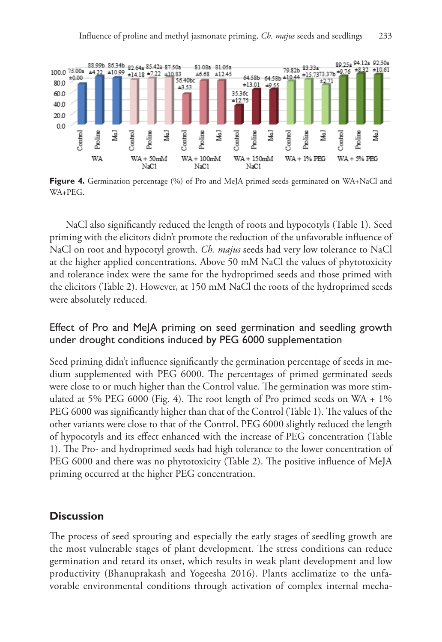

**Figure 4.** Germination percentage (%) of Pro and MeJA primed seeds germinated on WA+NaCl and WA+PEG.

NaCl also significantly reduced the length of roots and hypocotyls (Table 1). Seed priming with the elicitors didn't promote the reduction of the unfavorable influence of NaCl on root and hypocotyl growth. *Ch. majus* seeds had very low tolerance to NaCl at the higher applied concentrations. Above 50 mM NaCl the values of phytotoxicity and tolerance index were the same for the hydroprimed seeds and those primed with the elicitors (Table 2). However, at 150 mM NaCl the roots of the hydroprimed seeds were absolutely reduced.

### Effect of Pro and MeJA priming on seed germination and seedling growth under drought conditions induced by PEG 6000 supplementation

Seed priming didn't influence significantly the germination percentage of seeds in medium supplemented with PEG 6000. The percentages of primed germinated seeds were close to or much higher than the Control value. The germination was more stimulated at 5% PEG 6000 (Fig. 4). The root length of Pro primed seeds on WA + 1% PEG 6000 was significantly higher than that of the Control (Table 1). The values of the other variants were close to that of the Control. PEG 6000 slightly reduced the length of hypocotyls and its effect enhanced with the increase of PEG concentration (Table 1). The Pro- and hydroprimed seeds had high tolerance to the lower concentration of PEG 6000 and there was no phytotoxicity (Table 2). The positive influence of MeJA priming occurred at the higher PEG concentration.

# **Discussion**

The process of seed sprouting and especially the early stages of seedling growth are the most vulnerable stages of plant development. The stress conditions can reduce germination and retard its onset, which results in weak plant development and low productivity (Bhanuprakash and Yogeesha 2016). Plants acclimatize to the unfavorable environmental conditions through activation of complex internal mecha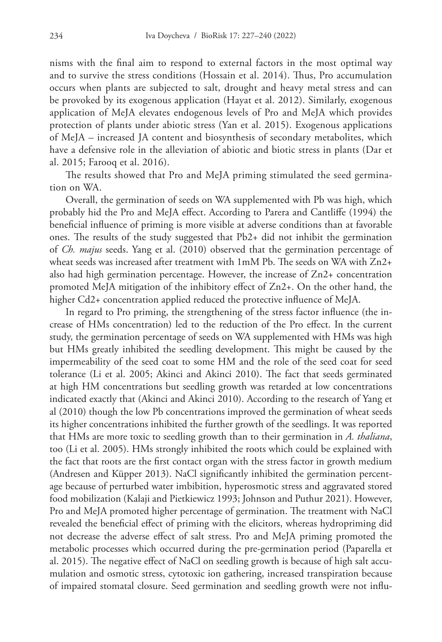nisms with the final aim to respond to external factors in the most optimal way and to survive the stress conditions (Hossain et al. 2014). Thus, Pro accumulation occurs when plants are subjected to salt, drought and heavy metal stress and can be provoked by its exogenous application (Hayat et al. 2012). Similarly, exogenous application of MeJA elevates endogenous levels of Pro and MeJA which provides protection of plants under abiotic stress (Yan et al. 2015). Exogenous applications of MeJA – increased JA content and biosynthesis of secondary metabolites, which have a defensive role in the alleviation of abiotic and biotic stress in plants (Dar et al. 2015; Farooq et al. 2016).

The results showed that Pro and MeJA priming stimulated the seed germination on WA.

Overall, the germination of seeds on WA supplemented with Pb was high, which probably hid the Pro and MeJA effect. According to Parera and Cantliffe (1994) the beneficial influence of priming is more visible at adverse conditions than at favorable ones. The results of the study suggested that Pb2+ did not inhibit the germination of *Ch. majus* seeds. Yang et al. (2010) observed that the germination percentage of wheat seeds was increased after treatment with 1mM Pb. The seeds on WA with Zn2+ also had high germination percentage. However, the increase of Zn2+ concentration promoted MeJA mitigation of the inhibitory effect of Zn2+. On the other hand, the higher Cd2+ concentration applied reduced the protective influence of MeJA.

In regard to Pro priming, the strengthening of the stress factor influence (the increase of HMs concentration) led to the reduction of the Pro effect. In the current study, the germination percentage of seeds on WA supplemented with HMs was high but HMs greatly inhibited the seedling development. This might be caused by the impermeability of the seed coat to some HM and the role of the seed coat for seed tolerance (Li et al. 2005; Akinci and Akinci 2010). The fact that seeds germinated at high HM concentrations but seedling growth was retarded at low concentrations indicated exactly that (Akinci and Akinci 2010). According to the research of Yang et al (2010) though the low Pb concentrations improved the germination of wheat seeds its higher concentrations inhibited the further growth of the seedlings. It was reported that HMs are more toxic to seedling growth than to their germination in *A. thaliana*, too (Li et al. 2005). HMs strongly inhibited the roots which could be explained with the fact that roots are the first contact organ with the stress factor in growth medium (Andresen and Küpper 2013). NaCl significantly inhibited the germination percentage because of perturbed water imbibition, hyperosmotic stress and aggravated stored food mobilization (Kalaji and Pietkiewicz 1993; Johnson and Puthur 2021). However, Pro and MeJA promoted higher percentage of germination. The treatment with NaCl revealed the beneficial effect of priming with the elicitors, whereas hydropriming did not decrease the adverse effect of salt stress. Pro and MeJA priming promoted the metabolic processes which occurred during the pre-germination period (Paparella et al. 2015). The negative effect of NaCl on seedling growth is because of high salt accumulation and osmotic stress, cytotoxic ion gathering, increased transpiration because of impaired stomatal closure. Seed germination and seedling growth were not influ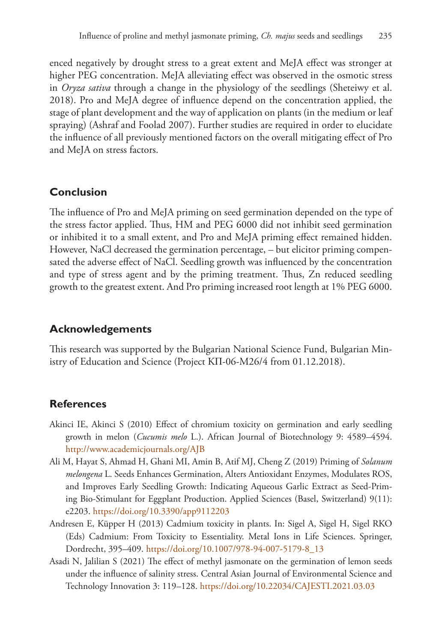enced negatively by drought stress to a great extent and MeJA effect was stronger at higher PEG concentration. MeJA alleviating effect was observed in the osmotic stress in *Oryza sativa* through a change in the physiology of the seedlings (Sheteiwy et al. 2018). Pro and MeJA degree of influence depend on the concentration applied, the stage of plant development and the way of application on plants (in the medium or leaf spraying) (Ashraf and Foolad 2007). Further studies are required in order to elucidate the influence of all previously mentioned factors on the overall mitigating effect of Pro and MeJA on stress factors.

# **Conclusion**

The influence of Pro and MeJA priming on seed germination depended on the type of the stress factor applied. Thus, HM and PEG 6000 did not inhibit seed germination or inhibited it to a small extent, and Pro and MeJA priming effect remained hidden. However, NaCl decreased the germination percentage, – but elicitor priming compensated the adverse effect of NaCl. Seedling growth was influenced by the concentration and type of stress agent and by the priming treatment. Thus, Zn reduced seedling growth to the greatest extent. And Pro priming increased root length at 1% PEG 6000.

# **Acknowledgements**

This research was supported by the Bulgarian National Science Fund, Bulgarian Ministry of Education and Science (Project KП-06-M26/4 from 01.12.2018).

# **References**

- Akinci IE, Akinci S (2010) Effect of chromium toxicity on germination and early seedling growth in melon (*Cucumis melo* L.). African Journal of Biotechnology 9: 4589–4594. <http://www.academicjournals.org/AJB>
- Ali M, Hayat S, Ahmad H, Ghani MI, Amin B, Atif MJ, Cheng Z (2019) Priming of *Solanum melongena* L. Seeds Enhances Germination, Alters Antioxidant Enzymes, Modulates ROS, and Improves Early Seedling Growth: Indicating Aqueous Garlic Extract as Seed-Priming Bio-Stimulant for Eggplant Production. Applied Sciences (Basel, Switzerland) 9(11): e2203.<https://doi.org/10.3390/app9112203>
- Andresen E, Küpper H (2013) Cadmium toxicity in plants. In: Sigel A, Sigel H, Sigel RKO (Eds) Cadmium: From Toxicity to Essentiality. Metal Ions in Life Sciences. Springer, Dordrecht, 395–409. [https://doi.org/10.1007/978-94-007-5179-8\\_13](https://doi.org/10.1007/978-94-007-5179-8_13)
- Asadi N, Jalilian S (2021) The effect of methyl jasmonate on the germination of lemon seeds under the influence of salinity stress. Central Asian Journal of Environmental Science and Technology Innovation 3: 119–128. <https://doi.org/10.22034/CAJESTI.2021.03.03>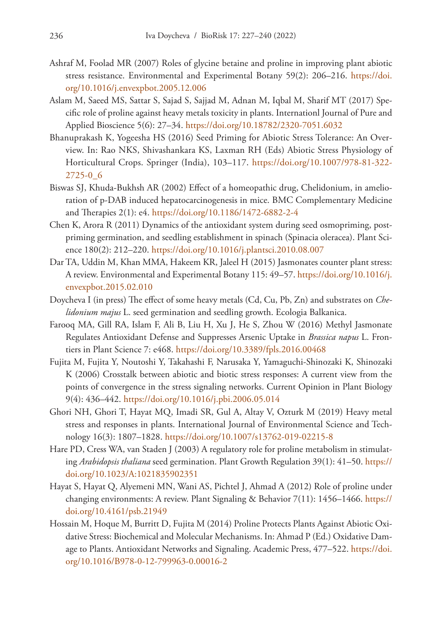- Ashraf M, Foolad MR (2007) Roles of glycine betaine and proline in improving plant abiotic stress resistance. Environmental and Experimental Botany 59(2): 206–216. [https://doi.](https://doi.org/10.1016/j.envexpbot.2005.12.006) [org/10.1016/j.envexpbot.2005.12.006](https://doi.org/10.1016/j.envexpbot.2005.12.006)
- Aslam M, Saeed MS, Sattar S, Sajad S, Sajjad M, Adnan M, Iqbal M, Sharif MT (2017) Specific role of proline against heavy metals toxicity in plants. Internationl Journal of Pure and Applied Bioscience 5(6): 27–34. <https://doi.org/10.18782/2320-7051.6032>
- Bhanuprakash K, Yogeesha HS (2016) Seed Priming for Abiotic Stress Tolerance: An Overview. In: Rao NKS, Shivashankara KS, Laxman RH (Eds) Abiotic Stress Physiology of Horticultural Crops. Springer (India), 103–117. [https://doi.org/10.1007/978-81-322-](https://doi.org/10.1007/978-81-322-2725-0_6) [2725-0\\_6](https://doi.org/10.1007/978-81-322-2725-0_6)
- Biswas SJ, Khuda-Bukhsh AR (2002) Effect of a homeopathic drug, Chelidonium, in amelioration of p-DAB induced hepatocarcinogenesis in mice. BMC Complementary Medicine and Therapies 2(1): e4. <https://doi.org/10.1186/1472-6882-2-4>
- Chen K, Arora R (2011) Dynamics of the antioxidant system during seed osmopriming, postpriming germination, and seedling establishment in spinach (Spinacia oleracea). Plant Science 180(2): 212–220. <https://doi.org/10.1016/j.plantsci.2010.08.007>
- Dar TA, Uddin M, Khan MMA, Hakeem KR, Jaleel H (2015) Jasmonates counter plant stress: A review. Environmental and Experimental Botany 115: 49–57. [https://doi.org/10.1016/j.](https://doi.org/10.1016/j.envexpbot.2015.02.010) [envexpbot.2015.02.010](https://doi.org/10.1016/j.envexpbot.2015.02.010)
- Doycheva I (in press) The effect of some heavy metals (Cd, Cu, Pb, Zn) and substrates on *Chelidonium majus* L. seed germination and seedling growth. Ecologia Balkanica.
- Farooq MA, Gill RA, Islam F, Ali B, Liu H, Xu J, He S, Zhou W (2016) Methyl Jasmonate Regulates Antioxidant Defense and Suppresses Arsenic Uptake in *Brassica napus* L. Frontiers in Plant Science 7: e468.<https://doi.org/10.3389/fpls.2016.00468>
- Fujita M, Fujita Y, Noutoshi Y, Takahashi F, Narusaka Y, Yamaguchi-Shinozaki K, Shinozaki K (2006) Crosstalk between abiotic and biotic stress responses: A current view from the points of convergence in the stress signaling networks. Current Opinion in Plant Biology 9(4): 436–442. <https://doi.org/10.1016/j.pbi.2006.05.014>
- Ghori NH, Ghori T, Hayat MQ, Imadi SR, Gul A, Altay V, Ozturk M (2019) Heavy metal stress and responses in plants. International Journal of Environmental Science and Technology 16(3): 1807–1828. <https://doi.org/10.1007/s13762-019-02215-8>
- Hare PD, Cress WA, van Staden J (2003) A regulatory role for proline metabolism in stimulating *Arabidopsis thaliana* seed germination. Plant Growth Regulation 39(1): 41–50. [https://](https://doi.org/10.1023/A:1021835902351) [doi.org/10.1023/A:1021835902351](https://doi.org/10.1023/A:1021835902351)
- Hayat S, Hayat Q, Alyemeni MN, Wani AS, Pichtel J, Ahmad A (2012) Role of proline under changing environments: A review. Plant Signaling & Behavior 7(11): 1456–1466. [https://](https://doi.org/10.4161/psb.21949) [doi.org/10.4161/psb.21949](https://doi.org/10.4161/psb.21949)
- Hossain M, Hoque M, Burritt D, Fujita M (2014) Proline Protects Plants Against Abiotic Oxidative Stress: Biochemical and Molecular Mechanisms. In: Ahmad P (Ed.) Oxidative Damage to Plants. Antioxidant Networks and Signaling. Academic Press, 477–522. [https://doi.](https://doi.org/10.1016/B978-0-12-799963-0.00016-2) [org/10.1016/B978-0-12-799963-0.00016-2](https://doi.org/10.1016/B978-0-12-799963-0.00016-2)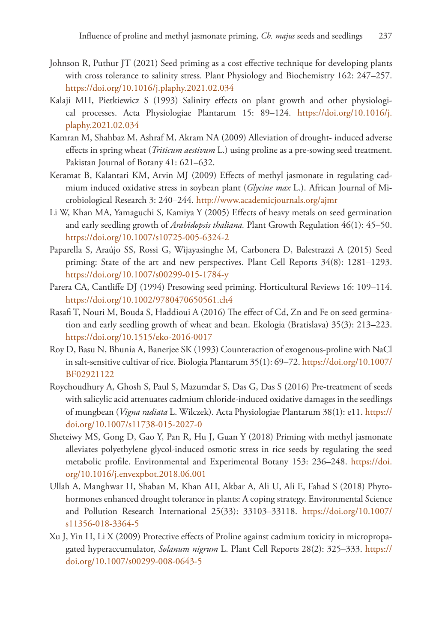- Johnson R, Puthur JT (2021) Seed priming as a cost effective technique for developing plants with cross tolerance to salinity stress. Plant Physiology and Biochemistry 162: 247–257. <https://doi.org/10.1016/j.plaphy.2021.02.034>
- Kalaji MH, Pietkiewicz S (1993) Salinity effects on plant growth and other physiological processes. Acta Physiologiae Plantarum 15: 89–124. [https://doi.org/10.1016/j.](https://doi.org/10.1016/j.plaphy.2021.02.034) [plaphy.2021.02.034](https://doi.org/10.1016/j.plaphy.2021.02.034)
- Kamran M, Shahbaz M, Ashraf M, Akram NA (2009) Alleviation of drought- induced adverse effects in spring wheat (*Triticum aestivum* L.) using proline as a pre-sowing seed treatment. Pakistan Journal of Botany 41: 621–632.
- Keramat B, Kalantari KM, Arvin MJ (2009) Effects of methyl jasmonate in regulating cadmium induced oxidative stress in soybean plant (*Glycine max* L.). African Journal of Microbiological Research 3: 240–244. <http://www.academicjournals.org/ajmr>
- Li W, Khan MA, Yamaguchi S, Kamiya Y (2005) Effects of heavy metals on seed germination and early seedling growth of *Arabidopsis thaliana.* Plant Growth Regulation 46(1): 45–50. <https://doi.org/10.1007/s10725-005-6324-2>
- Paparella S, Araújo SS, Rossi G, Wijayasinghe M, Carbonera D, Balestrazzi A (2015) Seed priming: State of the art and new perspectives. Plant Cell Reports 34(8): 1281–1293. <https://doi.org/10.1007/s00299-015-1784-y>
- Parera CA, Cantliffe DJ (1994) Presowing seed priming. Horticultural Reviews 16: 109–114. <https://doi.org/10.1002/9780470650561.ch4>
- Rasafi T, Nouri M, Bouda S, Haddioui A (2016) The effect of Cd, Zn and Fe on seed germination and early seedling growth of wheat and bean. Ekologia (Bratislava) 35(3): 213–223. <https://doi.org/10.1515/eko-2016-0017>
- Roy D, Basu N, Bhunia A, Banerjee SK (1993) Counteraction of exogenous-proline with NaCl in salt-sensitive cultivar of rice. Biologia Plantarum 35(1): 69–72. [https://doi.org/10.1007/](https://doi.org/10.1007/BF02921122) [BF02921122](https://doi.org/10.1007/BF02921122)
- Roychoudhury A, Ghosh S, Paul S, Mazumdar S, Das G, Das S (2016) Pre-treatment of seeds with salicylic acid attenuates cadmium chloride-induced oxidative damages in the seedlings of mungbean (*Vigna radiata* L. Wilczek). Acta Physiologiae Plantarum 38(1): e11. [https://](https://doi.org/10.1007/s11738-015-2027-0) [doi.org/10.1007/s11738-015-2027-0](https://doi.org/10.1007/s11738-015-2027-0)
- Sheteiwy MS, Gong D, Gao Y, Pan R, Hu J, Guan Y (2018) Priming with methyl jasmonate alleviates polyethylene glycol-induced osmotic stress in rice seeds by regulating the seed metabolic profile. Environmental and Experimental Botany 153: 236–248. [https://doi.](https://doi.org/10.1016/j.envexpbot.2018.06.001) [org/10.1016/j.envexpbot.2018.06.001](https://doi.org/10.1016/j.envexpbot.2018.06.001)
- Ullah A, Manghwar H, Shaban M, Khan AH, Akbar A, Ali U, Ali E, Fahad S (2018) Phytohormones enhanced drought tolerance in plants: A coping strategy. Environmental Science and Pollution Research International 25(33): 33103–33118. [https://doi.org/10.1007/](https://doi.org/10.1007/s11356-018-3364-5) [s11356-018-3364-5](https://doi.org/10.1007/s11356-018-3364-5)
- Xu J, Yin H, Li X (2009) Protective effects of Proline against cadmium toxicity in micropropagated hyperaccumulator, *Solanum nigrum* L. Plant Cell Reports 28(2): 325–333. [https://](https://doi.org/10.1007/s00299-008-0643-5) [doi.org/10.1007/s00299-008-0643-5](https://doi.org/10.1007/s00299-008-0643-5)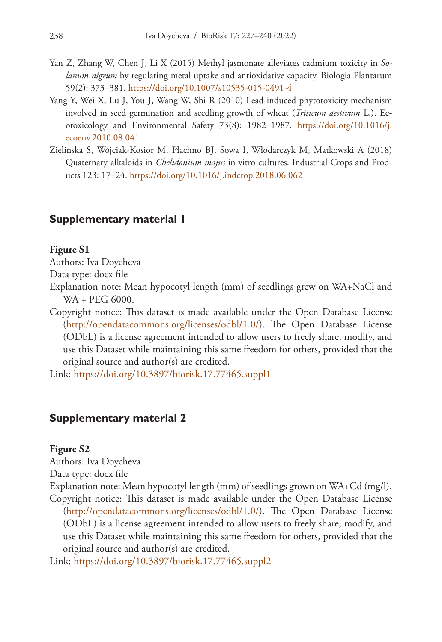- Yan Z, Zhang W, Chen J, Li X (2015) Methyl jasmonate alleviates cadmium toxicity in *Solanum nigrum* by regulating metal uptake and antioxidative capacity. Biologia Plantarum 59(2): 373–381. <https://doi.org/10.1007/s10535-015-0491-4>
- Yang Y, Wei X, Lu J, You J, Wang W, Shi R (2010) Lead-induced phytotoxicity mechanism involved in seed germination and seedling growth of wheat (*Triticum aestivum* L.). Ecotoxicology and Environmental Safety 73(8): 1982–1987. [https://doi.org/10.1016/j.](https://doi.org/10.1016/j.ecoenv.2010.08.041) [ecoenv.2010.08.041](https://doi.org/10.1016/j.ecoenv.2010.08.041)
- Zielinska S, Wójciak-Kosior M, Płachno BJ, Sowa I, Włodarczyk M, Matkowski A (2018) Quaternary alkaloids in *Chelidonium majus* in vitro cultures. Industrial Crops and Products 123: 17–24.<https://doi.org/10.1016/j.indcrop.2018.06.062>

### **Supplementary material 1**

#### **Figure S1**

Authors: Iva Doycheva

Data type: docx file

- Explanation note: Mean hypocotyl length (mm) of seedlings grew on WA+NaCl and WA + PEG 6000.
- Copyright notice: This dataset is made available under the Open Database License [\(http://opendatacommons.org/licenses/odbl/1.0/](http://opendatacommons.org/licenses/odbl/1.0/)). The Open Database License (ODbL) is a license agreement intended to allow users to freely share, modify, and use this Dataset while maintaining this same freedom for others, provided that the original source and author(s) are credited.

Link: <https://doi.org/10.3897/biorisk.17.77465.suppl1>

#### **Supplementary material 2**

#### **Figure S2**

Authors: Iva Doycheva

Data type: docx file

Explanation note: Mean hypocotyl length (mm) of seedlings grown on WA+Cd (mg/l). Copyright notice: This dataset is made available under the Open Database License [\(http://opendatacommons.org/licenses/odbl/1.0/](http://opendatacommons.org/licenses/odbl/1.0/)). The Open Database License (ODbL) is a license agreement intended to allow users to freely share, modify, and use this Dataset while maintaining this same freedom for others, provided that the original source and author(s) are credited.

Link: <https://doi.org/10.3897/biorisk.17.77465.suppl2>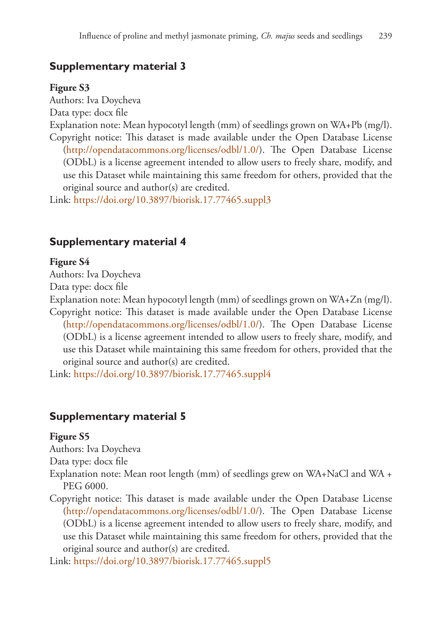# **Supplementary material 3**

#### **Figure S3**

Authors: Iva Doycheva Data type: docx file Explanation note: Mean hypocotyl length (mm) of seedlings grown on WA+Pb (mg/l). Copyright notice: This dataset is made available under the Open Database License [\(http://opendatacommons.org/licenses/odbl/1.0/](http://opendatacommons.org/licenses/odbl/1.0/)). The Open Database License (ODbL) is a license agreement intended to allow users to freely share, modify, and use this Dataset while maintaining this same freedom for others, provided that the original source and author(s) are credited.

Link: <https://doi.org/10.3897/biorisk.17.77465.suppl3>

### **Supplementary material 4**

#### **Figure S4**

Authors: Iva Doycheva

Data type: docx file

Explanation note: Mean hypocotyl length (mm) of seedlings grown on WA+Zn (mg/l). Copyright notice: This dataset is made available under the Open Database License [\(http://opendatacommons.org/licenses/odbl/1.0/](http://opendatacommons.org/licenses/odbl/1.0/)). The Open Database License (ODbL) is a license agreement intended to allow users to freely share, modify, and use this Dataset while maintaining this same freedom for others, provided that the original source and author(s) are credited.

Link: <https://doi.org/10.3897/biorisk.17.77465.suppl4>

### **Supplementary material 5**

#### **Figure S5**

Authors: Iva Doycheva

Data type: docx file

- Explanation note: Mean root length (mm) of seedlings grew on WA+NaCl and WA + PEG 6000.
- Copyright notice: This dataset is made available under the Open Database License [\(http://opendatacommons.org/licenses/odbl/1.0/](http://opendatacommons.org/licenses/odbl/1.0/)). The Open Database License (ODbL) is a license agreement intended to allow users to freely share, modify, and use this Dataset while maintaining this same freedom for others, provided that the original source and author(s) are credited.

Link: <https://doi.org/10.3897/biorisk.17.77465.suppl5>